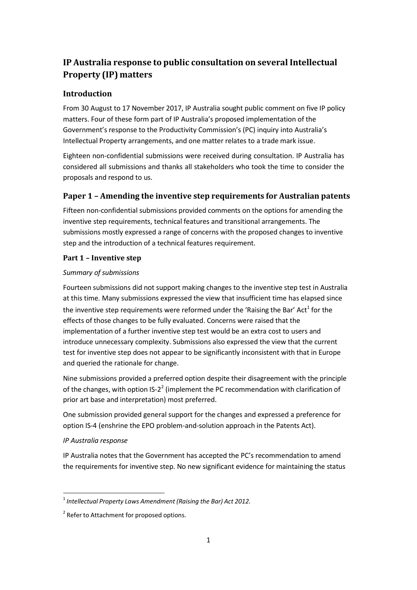## **IP Australia response to public consultation on several Intellectual Property (IP) matters**

## **Introduction**

From 30 August to 17 November 2017, IP Australia sought public comment on five IP policy matters. Four of these form part of IP Australia's proposed implementation of the Government's response to the Productivity Commission's (PC) inquiry into Australia's Intellectual Property arrangements, and one matter relates to a trade mark issue.

Eighteen non-confidential submissions were received during consultation. IP Australia has considered all submissions and thanks all stakeholders who took the time to consider the proposals and respond to us.

## **Paper 1 – Amending the inventive step requirements for Australian patents**

Fifteen non-confidential submissions provided comments on the options for amending the inventive step requirements, technical features and transitional arrangements. The submissions mostly expressed a range of concerns with the proposed changes to inventive step and the introduction of a technical features requirement.

## **Part 1 – Inventive step**

### *Summary of submissions*

Fourteen submissions did not support making changes to the inventive step test in Australia at this time. Many submissions expressed the view that insufficient time has elapsed since [t](#page-0-0)he inventive step requirements were reformed under the 'Raising the Bar' Act $^1$  for the effects of those changes to be fully evaluated. Concerns were raised that the implementation of a further inventive step test would be an extra cost to users and introduce unnecessary complexity. Submissions also expressed the view that the current test for inventive step does not appear to be significantly inconsistent with that in Europe and queried the rationale for change.

Nine submissions provided a preferred option despite their disagreement with the principle of the changes, with option IS-[2](#page-0-1)<sup>2</sup> (implement the PC recommendation with clarification of prior art base and interpretation) most preferred.

One submission provided general support for the changes and expressed a preference for option IS-4 (enshrine the EPO problem-and-solution approach in the Patents Act).

## *IP Australia response*

IP Australia notes that the Government has accepted the PC's recommendation to amend the requirements for inventive step. No new significant evidence for maintaining the status

<span id="page-0-0"></span><sup>1</sup> *Intellectual Property Laws Amendment (Raising the Bar) Act 2012.*

<span id="page-0-1"></span><sup>&</sup>lt;sup>2</sup> Refer to Attachment for proposed options.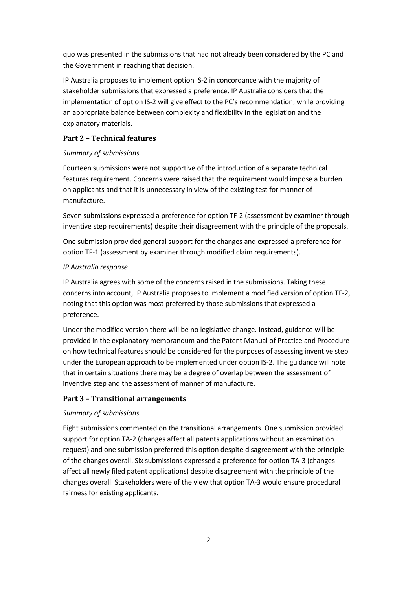quo was presented in the submissions that had not already been considered by the PC and the Government in reaching that decision.

IP Australia proposes to implement option IS-2 in concordance with the majority of stakeholder submissions that expressed a preference. IP Australia considers that the implementation of option IS-2 will give effect to the PC's recommendation, while providing an appropriate balance between complexity and flexibility in the legislation and the explanatory materials.

#### **Part 2 – Technical features**

#### *Summary of submissions*

Fourteen submissions were not supportive of the introduction of a separate technical features requirement. Concerns were raised that the requirement would impose a burden on applicants and that it is unnecessary in view of the existing test for manner of manufacture.

Seven submissions expressed a preference for option TF-2 (assessment by examiner through inventive step requirements) despite their disagreement with the principle of the proposals.

One submission provided general support for the changes and expressed a preference for option TF-1 (assessment by examiner through modified claim requirements).

### *IP Australia response*

IP Australia agrees with some of the concerns raised in the submissions. Taking these concerns into account, IP Australia proposes to implement a modified version of option TF-2, noting that this option was most preferred by those submissions that expressed a preference.

Under the modified version there will be no legislative change. Instead, guidance will be provided in the explanatory memorandum and the Patent Manual of Practice and Procedure on how technical features should be considered for the purposes of assessing inventive step under the European approach to be implemented under option IS-2. The guidance will note that in certain situations there may be a degree of overlap between the assessment of inventive step and the assessment of manner of manufacture.

## **Part 3 – Transitional arrangements**

#### *Summary of submissions*

Eight submissions commented on the transitional arrangements. One submission provided support for option TA-2 (changes affect all patents applications without an examination request) and one submission preferred this option despite disagreement with the principle of the changes overall. Six submissions expressed a preference for option TA-3 (changes affect all newly filed patent applications) despite disagreement with the principle of the changes overall. Stakeholders were of the view that option TA-3 would ensure procedural fairness for existing applicants.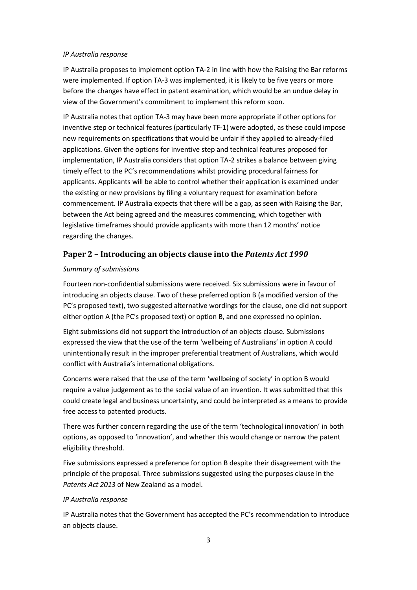#### *IP Australia response*

IP Australia proposes to implement option TA-2 in line with how the Raising the Bar reforms were implemented. If option TA-3 was implemented, it is likely to be five years or more before the changes have effect in patent examination, which would be an undue delay in view of the Government's commitment to implement this reform soon.

IP Australia notes that option TA-3 may have been more appropriate if other options for inventive step or technical features (particularly TF-1) were adopted, as these could impose new requirements on specifications that would be unfair if they applied to already-filed applications. Given the options for inventive step and technical features proposed for implementation, IP Australia considers that option TA-2 strikes a balance between giving timely effect to the PC's recommendations whilst providing procedural fairness for applicants. Applicants will be able to control whether their application is examined under the existing or new provisions by filing a voluntary request for examination before commencement. IP Australia expects that there will be a gap, as seen with Raising the Bar, between the Act being agreed and the measures commencing, which together with legislative timeframes should provide applicants with more than 12 months' notice regarding the changes.

## **Paper 2 – Introducing an objects clause into the** *Patents Act 1990*

#### *Summary of submissions*

Fourteen non-confidential submissions were received. Six submissions were in favour of introducing an objects clause. Two of these preferred option B (a modified version of the PC's proposed text), two suggested alternative wordings for the clause, one did not support either option A (the PC's proposed text) or option B, and one expressed no opinion.

Eight submissions did not support the introduction of an objects clause. Submissions expressed the view that the use of the term 'wellbeing of Australians' in option A could unintentionally result in the improper preferential treatment of Australians, which would conflict with Australia's international obligations.

Concerns were raised that the use of the term 'wellbeing of society' in option B would require a value judgement as to the social value of an invention. It was submitted that this could create legal and business uncertainty, and could be interpreted as a means to provide free access to patented products.

There was further concern regarding the use of the term 'technological innovation' in both options, as opposed to 'innovation', and whether this would change or narrow the patent eligibility threshold.

Five submissions expressed a preference for option B despite their disagreement with the principle of the proposal. Three submissions suggested using the purposes clause in the *Patents Act 2013* of New Zealand as a model.

#### *IP Australia response*

IP Australia notes that the Government has accepted the PC's recommendation to introduce an objects clause.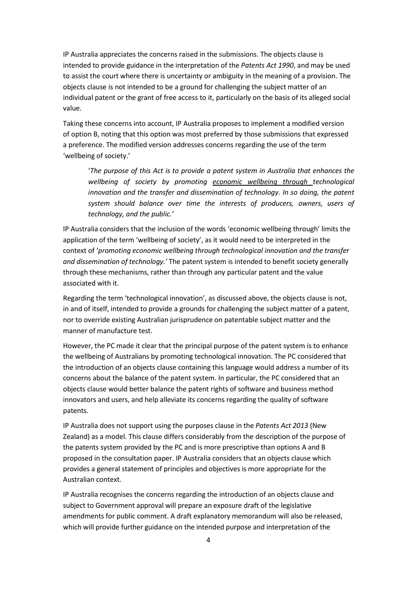IP Australia appreciates the concerns raised in the submissions. The objects clause is intended to provide guidance in the interpretation of the *Patents Act 1990*, and may be used to assist the court where there is uncertainty or ambiguity in the meaning of a provision. The objects clause is not intended to be a ground for challenging the subject matter of an individual patent or the grant of free access to it, particularly on the basis of its alleged social value.

Taking these concerns into account, IP Australia proposes to implement a modified version of option B, noting that this option was most preferred by those submissions that expressed a preference. The modified version addresses concerns regarding the use of the term 'wellbeing of society.'

'*The purpose of this Act is to provide a patent system in Australia that enhances the wellbeing of society by promoting economic wellbeing through technological innovation and the transfer and dissemination of technology. In so doing, the patent system should balance over time the interests of producers, owners, users of technology, and the public.'*

IP Australia considers that the inclusion of the words 'economic wellbeing through' limits the application of the term 'wellbeing of society', as it would need to be interpreted in the context of '*promoting economic wellbeing through technological innovation and the transfer and dissemination of technology.'* The patent system is intended to benefit society generally through these mechanisms, rather than through any particular patent and the value associated with it.

Regarding the term 'technological innovation', as discussed above, the objects clause is not, in and of itself, intended to provide a grounds for challenging the subject matter of a patent, nor to override existing Australian jurisprudence on patentable subject matter and the manner of manufacture test.

However, the PC made it clear that the principal purpose of the patent system is to enhance the wellbeing of Australians by promoting technological innovation. The PC considered that the introduction of an objects clause containing this language would address a number of its concerns about the balance of the patent system. In particular, the PC considered that an objects clause would better balance the patent rights of software and business method innovators and users, and help alleviate its concerns regarding the quality of software patents.

IP Australia does not support using the purposes clause in the *Patents Act 2013* (New Zealand) as a model. This clause differs considerably from the description of the purpose of the patents system provided by the PC and is more prescriptive than options A and B proposed in the consultation paper. IP Australia considers that an objects clause which provides a general statement of principles and objectives is more appropriate for the Australian context.

IP Australia recognises the concerns regarding the introduction of an objects clause and subject to Government approval will prepare an exposure draft of the legislative amendments for public comment. A draft explanatory memorandum will also be released, which will provide further guidance on the intended purpose and interpretation of the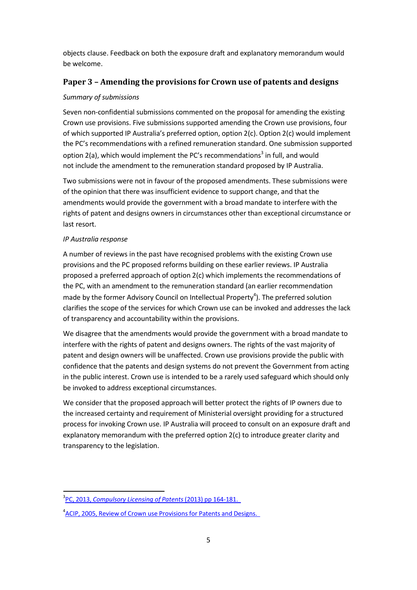objects clause. Feedback on both the exposure draft and explanatory memorandum would be welcome.

## **Paper 3 – Amending the provisions for Crown use of patents and designs**

#### *Summary of submissions*

Seven non-confidential submissions commented on the proposal for amending the existing Crown use provisions. Five submissions supported amending the Crown use provisions, four of which supported IP Australia's preferred option, option 2(c). Option 2(c) would implement the PC's recommendations with a refined remuneration standard. One submission supported option 2(a), which would implement the PC'[s](#page-4-0) recommendations<sup>3</sup> in full, and would not include the amendment to the remuneration standard proposed by IP Australia.

Two submissions were not in favour of the proposed amendments. These submissions were of the opinion that there was insufficient evidence to support change, and that the amendments would provide the government with a broad mandate to interfere with the rights of patent and designs owners in circumstances other than exceptional circumstance or last resort.

### *IP Australia response*

A number of reviews in the past have recognised problems with the existing Crown use provisions and the PC proposed reforms building on these earlier reviews. IP Australia proposed a preferred approach of option 2(c) which implements the recommendations of the PC, with an amendment to the remuneration standard (an earlier recommendation made by the former Advisory Council on Intellectual Property<sup>4</sup>[\)](#page-4-1). The preferred solution clarifies the scope of the services for which Crown use can be invoked and addresses the lack of transparency and accountability within the provisions.

We disagree that the amendments would provide the government with a broad mandate to interfere with the rights of patent and designs owners. The rights of the vast majority of patent and design owners will be unaffected. Crown use provisions provide the public with confidence that the patents and design systems do not prevent the Government from acting in the public interest. Crown use is intended to be a rarely used safeguard which should only be invoked to address exceptional circumstances.

We consider that the proposed approach will better protect the rights of IP owners due to the increased certainty and requirement of Ministerial oversight providing for a structured process for invoking Crown use. IP Australia will proceed to consult on an exposure draft and explanatory memorandum with the preferred option 2(c) to introduce greater clarity and transparency to the legislation.

<span id="page-4-0"></span><sup>3</sup> PC, 2013, *[Compulsory](http://www.pc.gov.au/inquiries/completed/patents/report/patents.pdf) Licensing of Patents* (2013) pp 164-181.

<span id="page-4-1"></span><sup>&</sup>lt;sup>4</sup> ACIP, 2005, Review of Crown use Provisions for Patents and Designs.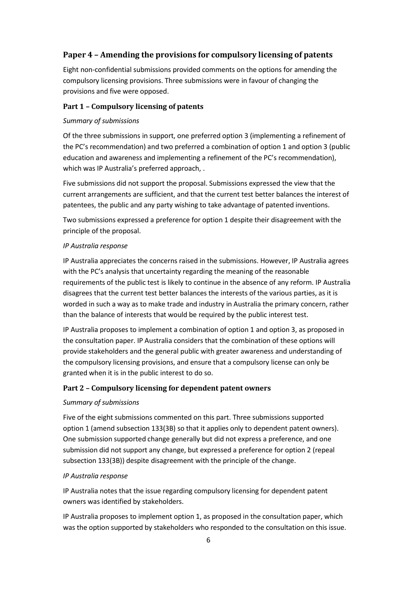## **Paper 4 – Amending the provisions for compulsory licensing of patents**

Eight non-confidential submissions provided comments on the options for amending the compulsory licensing provisions. Three submissions were in favour of changing the provisions and five were opposed.

#### **Part 1 – Compulsory licensing of patents**

#### *Summary of submissions*

Of the three submissions in support, one preferred option 3 (implementing a refinement of the PC's recommendation) and two preferred a combination of option 1 and option 3 (public education and awareness and implementing a refinement of the PC's recommendation), which was IP Australia's preferred approach, .

Five submissions did not support the proposal. Submissions expressed the view that the current arrangements are sufficient, and that the current test better balances the interest of patentees, the public and any party wishing to take advantage of patented inventions.

Two submissions expressed a preference for option 1 despite their disagreement with the principle of the proposal.

#### *IP Australia response*

IP Australia appreciates the concerns raised in the submissions. However, IP Australia agrees with the PC's analysis that uncertainty regarding the meaning of the reasonable requirements of the public test is likely to continue in the absence of any reform. IP Australia disagrees that the current test better balances the interests of the various parties, as it is worded in such a way as to make trade and industry in Australia the primary concern, rather than the balance of interests that would be required by the public interest test.

IP Australia proposes to implement a combination of option 1 and option 3, as proposed in the consultation paper. IP Australia considers that the combination of these options will provide stakeholders and the general public with greater awareness and understanding of the compulsory licensing provisions, and ensure that a compulsory license can only be granted when it is in the public interest to do so.

#### **Part 2 – Compulsory licensing for dependent patent owners**

#### *Summary of submissions*

Five of the eight submissions commented on this part. Three submissions supported option 1 (amend subsection 133(3B) so that it applies only to dependent patent owners). One submission supported change generally but did not express a preference, and one submission did not support any change, but expressed a preference for option 2 (repeal subsection 133(3B)) despite disagreement with the principle of the change.

#### *IP Australia response*

IP Australia notes that the issue regarding compulsory licensing for dependent patent owners was identified by stakeholders.

IP Australia proposes to implement option 1, as proposed in the consultation paper, which was the option supported by stakeholders who responded to the consultation on this issue.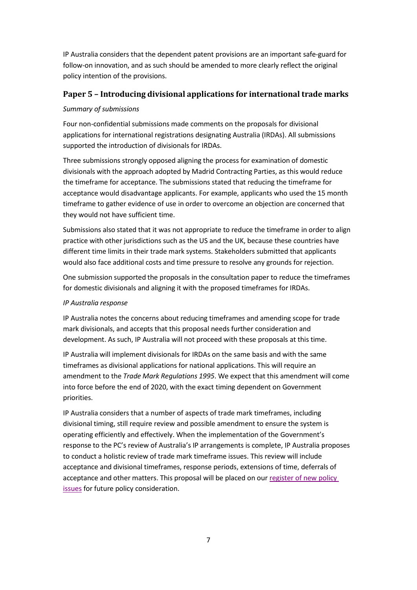IP Australia considers that the dependent patent provisions are an important safe-guard for follow-on innovation, and as such should be amended to more clearly reflect the original policy intention of the provisions.

## **Paper 5 – Introducing divisional applications for international trade marks**

### *Summary of submissions*

Four non-confidential submissions made comments on the proposals for divisional applications for international registrations designating Australia (IRDAs). All submissions supported the introduction of divisionals for IRDAs.

Three submissions strongly opposed aligning the process for examination of domestic divisionals with the approach adopted by Madrid Contracting Parties, as this would reduce the timeframe for acceptance. The submissions stated that reducing the timeframe for acceptance would disadvantage applicants. For example, applicants who used the 15 month timeframe to gather evidence of use in order to overcome an objection are concerned that they would not have sufficient time.

Submissions also stated that it was not appropriate to reduce the timeframe in order to align practice with other jurisdictions such as the US and the UK, because these countries have different time limits in their trade mark systems. Stakeholders submitted that applicants would also face additional costs and time pressure to resolve any grounds for rejection.

One submission supported the proposals in the consultation paper to reduce the timeframes for domestic divisionals and aligning it with the proposed timeframes for IRDAs.

## *IP Australia response*

IP Australia notes the concerns about reducing timeframes and amending scope for trade mark divisionals, and accepts that this proposal needs further consideration and development. As such, IP Australia will not proceed with these proposals at this time.

IP Australia will implement divisionals for IRDAs on the same basis and with the same timeframes as divisional applications for national applications. This will require an amendment to the *Trade Mark Regulations 1995*. We expect that this amendment will come into force before the end of 2020, with the exact timing dependent on Government priorities.

IP Australia considers that a number of aspects of trade mark timeframes, including divisional timing, still require review and possible amendment to ensure the system is operating efficiently and effectively. When the implementation of the Government's response to the PC's review of Australia's IP arrangements is complete, IP Australia proposes to conduct a holistic review of trade mark timeframe issues. This review will include acceptance and divisional timeframes, response periods, extensions of time, deferrals of acceptance and other matters. This proposal will be placed on our [register](https://www.ipaustralia.gov.au/policy-register) of new policy [issues](https://www.ipaustralia.gov.au/policy-register) for future policy consideration.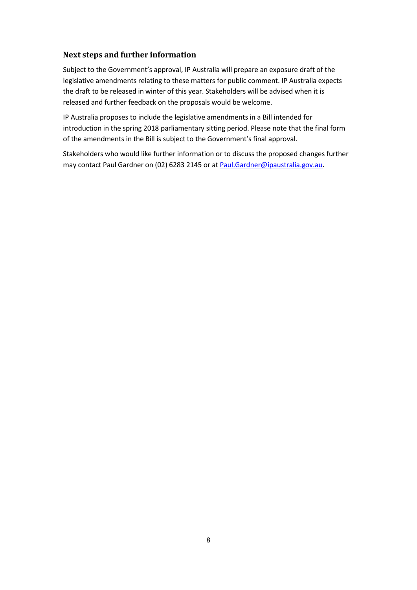### **Next steps and further information**

Subject to the Government's approval, IP Australia will prepare an exposure draft of the legislative amendments relating to these matters for public comment. IP Australia expects the draft to be released in winter of this year. Stakeholders will be advised when it is released and further feedback on the proposals would be welcome.

IP Australia proposes to include the legislative amendments in a Bill intended for introduction in the spring 2018 parliamentary sitting period. Please note that the final form of the amendments in the Bill is subject to the Government's final approval.

Stakeholders who would like further information or to discuss the proposed changes further may contact Paul Gardner on (02) 6283 2145 or at [Paul.Gardner@ipaustralia.gov.au.](mailto:Paul.Gardner@ipaustralia.gov.au)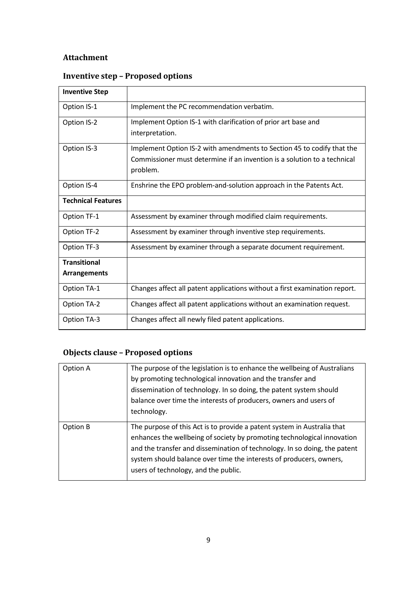## **Attachment**

| <b>Inventive Step</b>     |                                                                                                                                                                |
|---------------------------|----------------------------------------------------------------------------------------------------------------------------------------------------------------|
| Option IS-1               | Implement the PC recommendation verbatim.                                                                                                                      |
| Option IS-2               | Implement Option IS-1 with clarification of prior art base and<br>interpretation.                                                                              |
| Option IS-3               | Implement Option IS-2 with amendments to Section 45 to codify that the<br>Commissioner must determine if an invention is a solution to a technical<br>problem. |
| Option IS-4               | Enshrine the EPO problem-and-solution approach in the Patents Act.                                                                                             |
| <b>Technical Features</b> |                                                                                                                                                                |
| Option TF-1               | Assessment by examiner through modified claim requirements.                                                                                                    |
| Option TF-2               | Assessment by examiner through inventive step requirements.                                                                                                    |
| Option TF-3               | Assessment by examiner through a separate document requirement.                                                                                                |
| <b>Transitional</b>       |                                                                                                                                                                |
| <b>Arrangements</b>       |                                                                                                                                                                |
| Option TA-1               | Changes affect all patent applications without a first examination report.                                                                                     |
| <b>Option TA-2</b>        | Changes affect all patent applications without an examination request.                                                                                         |
| Option TA-3               | Changes affect all newly filed patent applications.                                                                                                            |

# **Inventive step – Proposed options**

# **Objects clause – Proposed options**

| Option A | The purpose of the legislation is to enhance the wellbeing of Australians<br>by promoting technological innovation and the transfer and<br>dissemination of technology. In so doing, the patent system should<br>balance over time the interests of producers, owners and users of<br>technology.                                              |
|----------|------------------------------------------------------------------------------------------------------------------------------------------------------------------------------------------------------------------------------------------------------------------------------------------------------------------------------------------------|
| Option B | The purpose of this Act is to provide a patent system in Australia that<br>enhances the wellbeing of society by promoting technological innovation<br>and the transfer and dissemination of technology. In so doing, the patent<br>system should balance over time the interests of producers, owners,<br>users of technology, and the public. |